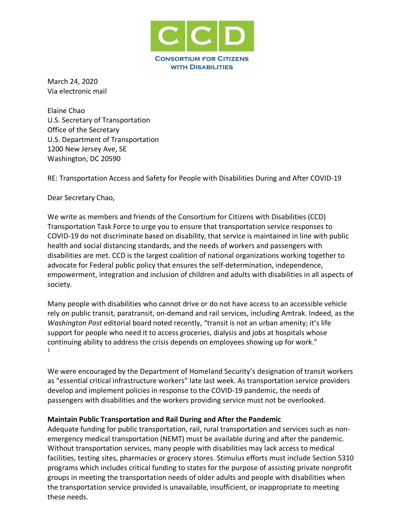

March 24, 2020 Via electronic mail

Elaine Chao U.S. Secretary of Transportation Office of the Secretary U.S. Department of Transportation 1200 New Jersey Ave, SE Washington, DC 20590

RE: Transportation Access and Safety for People with Disabilities During and After COVID-19

Dear Secretary Chao,

We write as members and friends of the Consortium for Citizens with Disabilities (CCD) Transportation Task Force to urge you to ensure that transportation service responses to COVID-19 do not discriminate based on disability, that service is maintained in line with public health and social distancing standards, and the needs of workers and passengers with disabilities are met. CCD is the largest coalition of national organizations working together to advocate for Federal public policy that ensures the self-determination, independence, empowerment, integration and inclusion of children and adults with disabilities in all aspects of society.

Many people with disabilities who cannot drive or do not have access to an accessible vehicle rely on public transit, paratransit, on-demand and rail services, including Amtrak. Indeed, as the *Washington Post* editorial board noted recently, "transit is not an urban amenity; it's life support for people who need it to access groceries, dialysis and jobs at hospitals whose continuing ability to address the crisis depends on employees showing up for work." 1

We were encouraged by the Department of Homeland Security's designation of transit workers as "essential critical infrastructure workers" late last week. As transportation service providers develop and implement policies in response to the COVID-19 pandemic, the needs of passengers with disabilities and the workers providing service must not be overlooked.

### **Maintain Public Transportation and Rail During and After the Pandemic**

Adequate funding for public transportation, rail, rural transportation and services such as nonemergency medical transportation (NEMT) must be available during and after the pandemic. Without transportation services, many people with disabilities may lack access to medical facilities, testing sites, pharmacies or grocery stores. Stimulus efforts must include Section 5310 programs which includes critical funding to states for the purpose of assisting private nonprofit groups in meeting the transportation needs of older adults and people with disabilities when the transportation service provided is unavailable, insufficient, or inappropriate to meeting these needs.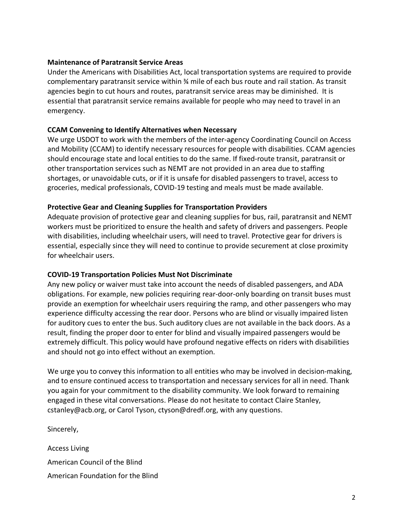# **Maintenance of Paratransit Service Areas**

Under the Americans with Disabilities Act, local transportation systems are required to provide complementary paratransit service within ¾ mile of each bus route and rail station. As transit agencies begin to cut hours and routes, paratransit service areas may be diminished. It is essential that paratransit service remains available for people who may need to travel in an emergency.

## **CCAM Convening to Identify Alternatives when Necessary**

We urge USDOT to work with the members of the inter-agency Coordinating Council on Access and Mobility (CCAM) to identify necessary resources for people with disabilities. CCAM agencies should encourage state and local entities to do the same. If fixed-route transit, paratransit or other transportation services such as NEMT are not provided in an area due to staffing shortages, or unavoidable cuts, or if it is unsafe for disabled passengers to travel, access to groceries, medical professionals, COVID-19 testing and meals must be made available.

# **Protective Gear and Cleaning Supplies for Transportation Providers**

Adequate provision of protective gear and cleaning supplies for bus, rail, paratransit and NEMT workers must be prioritized to ensure the health and safety of drivers and passengers. People with disabilities, including wheelchair users, will need to travel. Protective gear for drivers is essential, especially since they will need to continue to provide securement at close proximity for wheelchair users.

### **COVID-19 Transportation Policies Must Not Discriminate**

Any new policy or waiver must take into account the needs of disabled passengers, and ADA obligations. For example, new policies requiring rear-door-only boarding on transit buses must provide an exemption for wheelchair users requiring the ramp, and other passengers who may experience difficulty accessing the rear door. Persons who are blind or visually impaired listen for auditory cues to enter the bus. Such auditory clues are not available in the back doors. As a result, finding the proper door to enter for blind and visually impaired passengers would be extremely difficult. This policy would have profound negative effects on riders with disabilities and should not go into effect without an exemption.

We urge you to convey this information to all entities who may be involved in decision-making, and to ensure continued access to transportation and necessary services for all in need. Thank you again for your commitment to the disability community. We look forward to remaining engaged in these vital conversations. Please do not hesitate to contact Claire Stanley, cstanley@acb.org, or Carol Tyson, ctyson@dredf.org, with any questions.

Sincerely,

Access Living American Council of the Blind American Foundation for the Blind